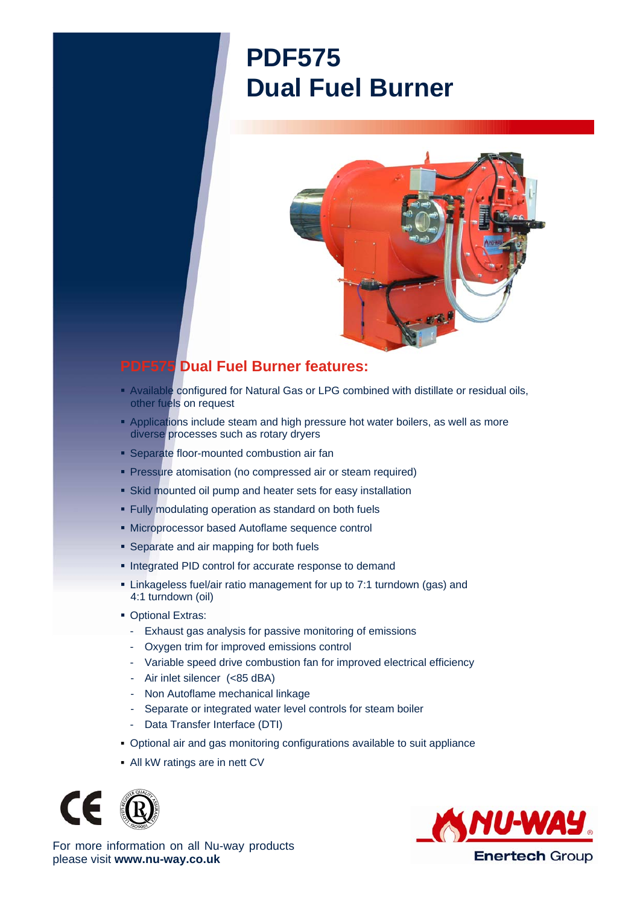## **PDF575 Dual Fuel Burner**



## **PDF575 Dual Fuel Burner features:**

- Available configured for Natural Gas or LPG combined with distillate or residual oils, other fuels on request
- **Applications include steam and high pressure hot water boilers, as well as more** diverse processes such as rotary dryers
- **Separate floor-mounted combustion air fan**
- **Pressure atomisation (no compressed air or steam required)**
- Skid mounted oil pump and heater sets for easy installation
- Fully modulating operation as standard on both fuels
- Microprocessor based Autoflame sequence control
- **Separate and air mapping for both fuels**
- **Integrated PID control for accurate response to demand**
- Linkageless fuel/air ratio management for up to 7:1 turndown (gas) and 4:1 turndown (oil)
- **Optional Extras:** 
	- Exhaust gas analysis for passive monitoring of emissions
	- Oxygen trim for improved emissions control
	- Variable speed drive combustion fan for improved electrical efficiency
	- Air inlet silencer (<85 dBA)
	- Non Autoflame mechanical linkage
	- Separate or integrated water level controls for steam boiler
	- Data Transfer Interface (DTI)
- Optional air and gas monitoring configurations available to suit appliance
- All kW ratings are in nett CV





For more information on all Nu-way products please visit **www.nu-way.co.uk**